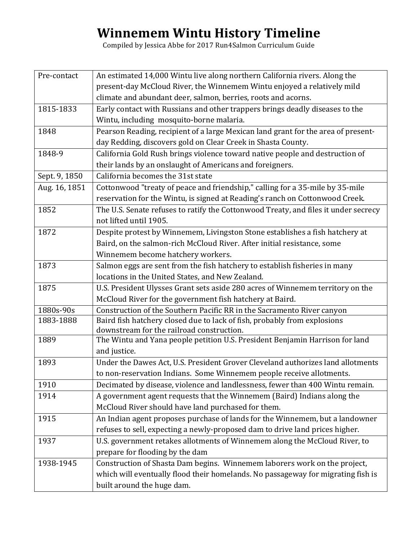## **Winnemem&Wintu&History Timeline**

Compiled by Jessica Abbe for 2017 Run4Salmon Curriculum Guide

| Pre-contact   | An estimated 14,000 Wintu live along northern California rivers. Along the          |
|---------------|-------------------------------------------------------------------------------------|
|               | present-day McCloud River, the Winnemem Wintu enjoyed a relatively mild             |
|               | climate and abundant deer, salmon, berries, roots and acorns.                       |
| 1815-1833     | Early contact with Russians and other trappers brings deadly diseases to the        |
|               | Wintu, including mosquito-borne malaria.                                            |
| 1848          | Pearson Reading, recipient of a large Mexican land grant for the area of present-   |
|               | day Redding, discovers gold on Clear Creek in Shasta County.                        |
| 1848-9        | California Gold Rush brings violence toward native people and destruction of        |
|               | their lands by an onslaught of Americans and foreigners.                            |
| Sept. 9, 1850 | California becomes the 31st state                                                   |
| Aug. 16, 1851 | Cottonwood "treaty of peace and friendship," calling for a 35-mile by 35-mile       |
|               | reservation for the Wintu, is signed at Reading's ranch on Cottonwood Creek.        |
| 1852          | The U.S. Senate refuses to ratify the Cottonwood Treaty, and files it under secrecy |
|               | not lifted until 1905.                                                              |
| 1872          | Despite protest by Winnemem, Livingston Stone establishes a fish hatchery at        |
|               | Baird, on the salmon-rich McCloud River. After initial resistance, some             |
|               | Winnemem become hatchery workers.                                                   |
| 1873          | Salmon eggs are sent from the fish hatchery to establish fisheries in many          |
|               | locations in the United States, and New Zealand.                                    |
| 1875          | U.S. President Ulysses Grant sets aside 280 acres of Winnemem territory on the      |
|               | McCloud River for the government fish hatchery at Baird.                            |
| 1880s-90s     | Construction of the Southern Pacific RR in the Sacramento River canyon              |
| 1883-1888     | Baird fish hatchery closed due to lack of fish, probably from explosions            |
|               | downstream for the railroad construction.                                           |
| 1889          | The Wintu and Yana people petition U.S. President Benjamin Harrison for land        |
|               | and justice.                                                                        |
| 1893          | Under the Dawes Act, U.S. President Grover Cleveland authorizes land allotments     |
|               | to non-reservation Indians. Some Winnemem people receive allotments.                |
| 1910          | Decimated by disease, violence and landlessness, fewer than 400 Wintu remain.       |
| 1914          | A government agent requests that the Winnemem (Baird) Indians along the             |
|               | McCloud River should have land purchased for them.                                  |
| 1915          | An Indian agent proposes purchase of lands for the Winnemem, but a landowner        |
|               | refuses to sell, expecting a newly-proposed dam to drive land prices higher.        |
| 1937          | U.S. government retakes allotments of Winnemem along the McCloud River, to          |
|               | prepare for flooding by the dam                                                     |
| 1938-1945     | Construction of Shasta Dam begins. Winnemem laborers work on the project,           |
|               | which will eventually flood their homelands. No passageway for migrating fish is    |
|               | built around the huge dam.                                                          |